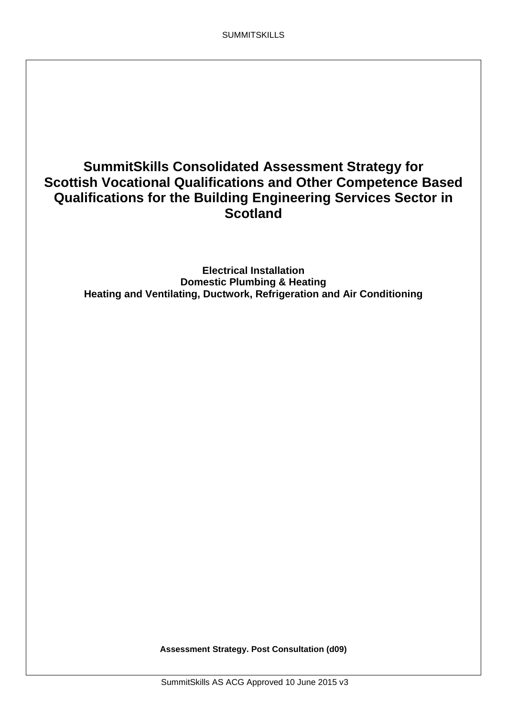# **SummitSkills Consolidated Assessment Strategy for Scottish Vocational Qualifications and Other Competence Based Qualifications for the Building Engineering Services Sector in Scotland**

**Electrical Installation Domestic Plumbing & Heating Heating and Ventilating, Ductwork, Refrigeration and Air Conditioning**

**Assessment Strategy. Post Consultation (d09)**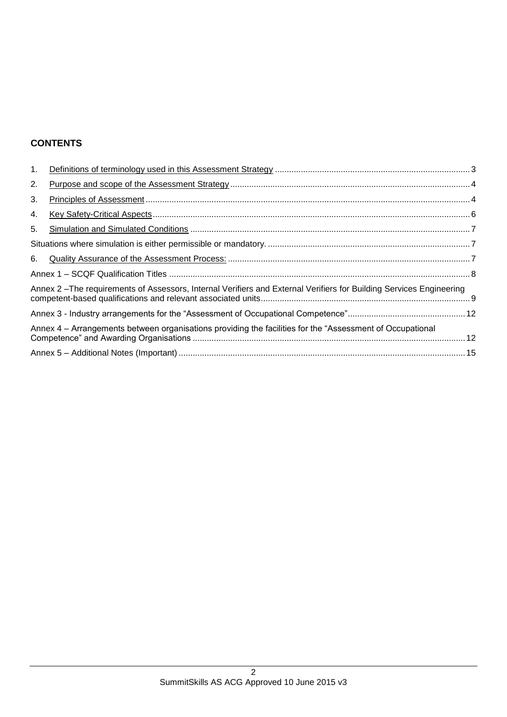# **CONTENTS**

| 1. |                                                                                                                      |  |  |  |  |
|----|----------------------------------------------------------------------------------------------------------------------|--|--|--|--|
| 2. |                                                                                                                      |  |  |  |  |
| 3. |                                                                                                                      |  |  |  |  |
| 4. |                                                                                                                      |  |  |  |  |
| 5. |                                                                                                                      |  |  |  |  |
|    |                                                                                                                      |  |  |  |  |
| 6. |                                                                                                                      |  |  |  |  |
|    |                                                                                                                      |  |  |  |  |
|    | Annex 2 - The requirements of Assessors, Internal Verifiers and External Verifiers for Building Services Engineering |  |  |  |  |
|    |                                                                                                                      |  |  |  |  |
|    | Annex 4 – Arrangements between organisations providing the facilities for the "Assessment of Occupational            |  |  |  |  |
|    |                                                                                                                      |  |  |  |  |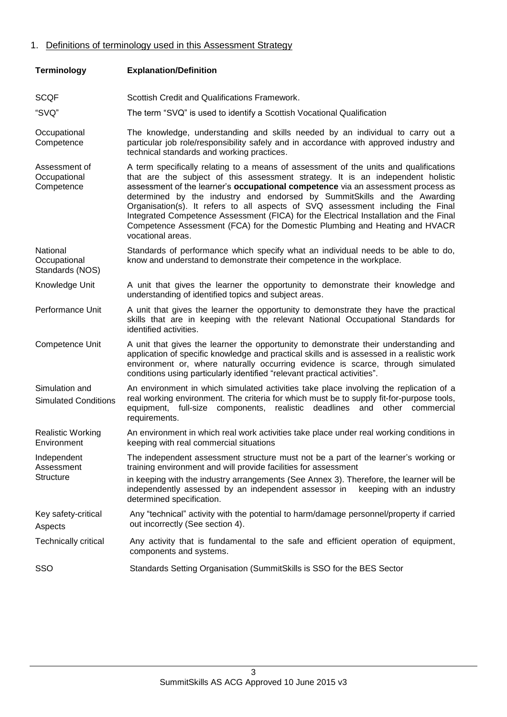# 1. Definitions of terminology used in this Assessment Strategy

| <b>Terminology</b>                            | <b>Explanation/Definition</b>                                                                                                                                                                                                                                                                                                                                                                                                                                                                                                                                                                                            |  |  |  |  |  |
|-----------------------------------------------|--------------------------------------------------------------------------------------------------------------------------------------------------------------------------------------------------------------------------------------------------------------------------------------------------------------------------------------------------------------------------------------------------------------------------------------------------------------------------------------------------------------------------------------------------------------------------------------------------------------------------|--|--|--|--|--|
| <b>SCQF</b>                                   | Scottish Credit and Qualifications Framework.                                                                                                                                                                                                                                                                                                                                                                                                                                                                                                                                                                            |  |  |  |  |  |
| "SVQ"                                         | The term "SVQ" is used to identify a Scottish Vocational Qualification                                                                                                                                                                                                                                                                                                                                                                                                                                                                                                                                                   |  |  |  |  |  |
| Occupational<br>Competence                    | The knowledge, understanding and skills needed by an individual to carry out a<br>particular job role/responsibility safely and in accordance with approved industry and<br>technical standards and working practices.                                                                                                                                                                                                                                                                                                                                                                                                   |  |  |  |  |  |
| Assessment of<br>Occupational<br>Competence   | A term specifically relating to a means of assessment of the units and qualifications<br>that are the subject of this assessment strategy. It is an independent holistic<br>assessment of the learner's occupational competence via an assessment process as<br>determined by the industry and endorsed by SummitSkills and the Awarding<br>Organisation(s). It refers to all aspects of SVQ assessment including the Final<br>Integrated Competence Assessment (FICA) for the Electrical Installation and the Final<br>Competence Assessment (FCA) for the Domestic Plumbing and Heating and HVACR<br>vocational areas. |  |  |  |  |  |
| National<br>Occupational<br>Standards (NOS)   | Standards of performance which specify what an individual needs to be able to do,<br>know and understand to demonstrate their competence in the workplace.                                                                                                                                                                                                                                                                                                                                                                                                                                                               |  |  |  |  |  |
| Knowledge Unit                                | A unit that gives the learner the opportunity to demonstrate their knowledge and<br>understanding of identified topics and subject areas.                                                                                                                                                                                                                                                                                                                                                                                                                                                                                |  |  |  |  |  |
| Performance Unit                              | A unit that gives the learner the opportunity to demonstrate they have the practical<br>skills that are in keeping with the relevant National Occupational Standards for<br>identified activities.                                                                                                                                                                                                                                                                                                                                                                                                                       |  |  |  |  |  |
| Competence Unit                               | A unit that gives the learner the opportunity to demonstrate their understanding and<br>application of specific knowledge and practical skills and is assessed in a realistic work<br>environment or, where naturally occurring evidence is scarce, through simulated<br>conditions using particularly identified "relevant practical activities".                                                                                                                                                                                                                                                                       |  |  |  |  |  |
| Simulation and<br><b>Simulated Conditions</b> | An environment in which simulated activities take place involving the replication of a<br>real working environment. The criteria for which must be to supply fit-for-purpose tools,<br>equipment, full-size components, realistic deadlines and other commercial<br>requirements.                                                                                                                                                                                                                                                                                                                                        |  |  |  |  |  |
| <b>Realistic Working</b><br>Environment       | An environment in which real work activities take place under real working conditions in<br>keeping with real commercial situations                                                                                                                                                                                                                                                                                                                                                                                                                                                                                      |  |  |  |  |  |
| Independent<br>Assessment<br><b>Structure</b> | The independent assessment structure must not be a part of the learner's working or<br>training environment and will provide facilities for assessment<br>in keeping with the industry arrangements (See Annex 3). Therefore, the learner will be<br>independently assessed by an independent assessor in<br>keeping with an industry<br>determined specification.                                                                                                                                                                                                                                                       |  |  |  |  |  |
| Key safety-critical<br>Aspects                | Any "technical" activity with the potential to harm/damage personnel/property if carried<br>out incorrectly (See section 4).                                                                                                                                                                                                                                                                                                                                                                                                                                                                                             |  |  |  |  |  |
| <b>Technically critical</b>                   | Any activity that is fundamental to the safe and efficient operation of equipment,<br>components and systems.                                                                                                                                                                                                                                                                                                                                                                                                                                                                                                            |  |  |  |  |  |
| SSO                                           | Standards Setting Organisation (SummitSkills is SSO for the BES Sector                                                                                                                                                                                                                                                                                                                                                                                                                                                                                                                                                   |  |  |  |  |  |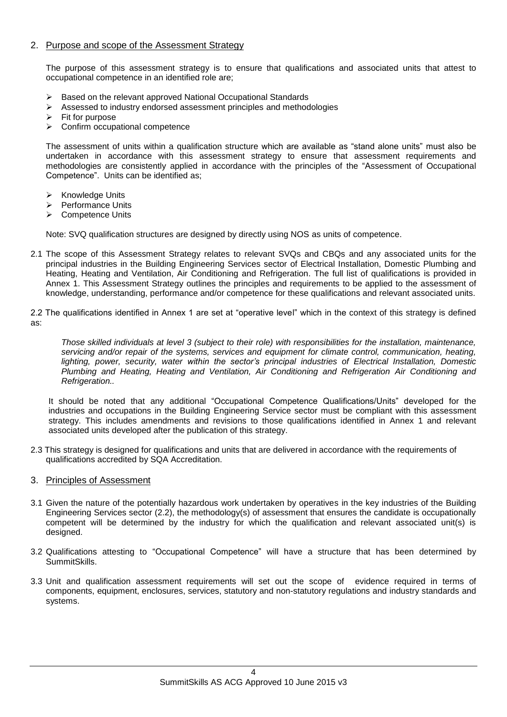## 2. Purpose and scope of the Assessment Strategy

The purpose of this assessment strategy is to ensure that qualifications and associated units that attest to occupational competence in an identified role are;

- $\triangleright$  Based on the relevant approved National Occupational Standards
- $\triangleright$  Assessed to industry endorsed assessment principles and methodologies
- $\triangleright$  Fit for purpose
- $\triangleright$  Confirm occupational competence

The assessment of units within a qualification structure which are available as "stand alone units" must also be undertaken in accordance with this assessment strategy to ensure that assessment requirements and methodologies are consistently applied in accordance with the principles of the "Assessment of Occupational Competence". Units can be identified as;

- $\triangleright$  Knowledge Units
- Performance Units
- **▶ Competence Units**

Note: SVQ qualification structures are designed by directly using NOS as units of competence.

2.1 The scope of this Assessment Strategy relates to relevant SVQs and CBQs and any associated units for the principal industries in the Building Engineering Services sector of Electrical Installation, Domestic Plumbing and Heating, Heating and Ventilation, Air Conditioning and Refrigeration. The full list of qualifications is provided in Annex 1. This Assessment Strategy outlines the principles and requirements to be applied to the assessment of knowledge, understanding, performance and/or competence for these qualifications and relevant associated units.

2.2 The qualifications identified in Annex 1 are set at "operative level" which in the context of this strategy is defined as:

*Those skilled individuals at level 3 (subject to their role) with responsibilities for the installation, maintenance, servicing and/or repair of the systems, services and equipment for climate control, communication, heating, lighting, power, security, water within the sector's principal industries of Electrical Installation, Domestic Plumbing and Heating, Heating and Ventilation, Air Conditioning and Refrigeration Air Conditioning and Refrigeration..* 

It should be noted that any additional "Occupational Competence Qualifications/Units" developed for the industries and occupations in the Building Engineering Service sector must be compliant with this assessment strategy. This includes amendments and revisions to those qualifications identified in Annex 1 and relevant associated units developed after the publication of this strategy.

- 2.3 This strategy is designed for qualifications and units that are delivered in accordance with the requirements of qualifications accredited by SQA Accreditation.
- 3. Principles of Assessment
- 3.1 Given the nature of the potentially hazardous work undertaken by operatives in the key industries of the Building Engineering Services sector (2.2), the methodology(s) of assessment that ensures the candidate is occupationally competent will be determined by the industry for which the qualification and relevant associated unit(s) is designed.
- 3.2 Qualifications attesting to "Occupational Competence" will have a structure that has been determined by SummitSkills.
- 3.3 Unit and qualification assessment requirements will set out the scope of evidence required in terms of components, equipment, enclosures, services, statutory and non-statutory regulations and industry standards and systems.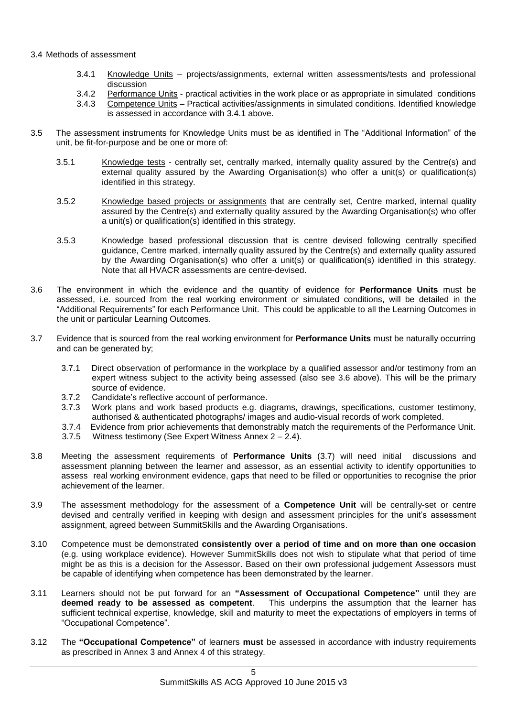#### 3.4 Methods of assessment

- 3.4.1 Knowledge Units projects/assignments, external written assessments/tests and professional discussion
- 3.4.2 Performance Units practical activities in the work place or as appropriate in simulated conditions
- 3.4.3 Competence Units Practical activities/assignments in simulated conditions. Identified knowledge is assessed in accordance with 3.4.1 above.
- 3.5 The assessment instruments for Knowledge Units must be as identified in The "Additional Information" of the unit, be fit-for-purpose and be one or more of:
	- 3.5.1 Knowledge tests centrally set, centrally marked, internally quality assured by the Centre(s) and external quality assured by the Awarding Organisation(s) who offer a unit(s) or qualification(s) identified in this strategy.
	- 3.5.2 Knowledge based projects or assignments that are centrally set, Centre marked, internal quality assured by the Centre(s) and externally quality assured by the Awarding Organisation(s) who offer a unit(s) or qualification(s) identified in this strategy.
	- 3.5.3 Knowledge based professional discussion that is centre devised following centrally specified guidance, Centre marked, internally quality assured by the Centre(s) and externally quality assured by the Awarding Organisation(s) who offer a unit(s) or qualification(s) identified in this strategy. Note that all HVACR assessments are centre-devised.
- 3.6 The environment in which the evidence and the quantity of evidence for **Performance Units** must be assessed, i.e. sourced from the real working environment or simulated conditions, will be detailed in the "Additional Requirements" for each Performance Unit. This could be applicable to all the Learning Outcomes in the unit or particular Learning Outcomes.
- 3.7 Evidence that is sourced from the real working environment for **Performance Units** must be naturally occurring and can be generated by;
	- 3.7.1 Direct observation of performance in the workplace by a qualified assessor and/or testimony from an expert witness subject to the activity being assessed (also see 3.6 above). This will be the primary source of evidence.
	- 3.7.2 Candidate's reflective account of performance.
	- 3.7.3 Work plans and work based products e.g. diagrams, drawings, specifications, customer testimony, authorised & authenticated photographs/ images and audio-visual records of work completed.
	- 3.7.4 Evidence from prior achievements that demonstrably match the requirements of the Performance Unit.
	- 3.7.5 Witness testimony (See Expert Witness Annex 2 2.4).
- 3.8 Meeting the assessment requirements of **Performance Units** (3.7) will need initial discussions and assessment planning between the learner and assessor, as an essential activity to identify opportunities to assess real working environment evidence, gaps that need to be filled or opportunities to recognise the prior achievement of the learner.
- 3.9 The assessment methodology for the assessment of a **Competence Unit** will be centrally-set or centre devised and centrally verified in keeping with design and assessment principles for the unit's assessment assignment, agreed between SummitSkills and the Awarding Organisations.
- 3.10 Competence must be demonstrated **consistently over a period of time and on more than one occasion** (e.g. using workplace evidence). However SummitSkills does not wish to stipulate what that period of time might be as this is a decision for the Assessor. Based on their own professional judgement Assessors must be capable of identifying when competence has been demonstrated by the learner.
- 3.11 Learners should not be put forward for an **"Assessment of Occupational Competence"** until they are **deemed ready to be assessed as competent**. This underpins the assumption that the learner has sufficient technical expertise, knowledge, skill and maturity to meet the expectations of employers in terms of "Occupational Competence".
- 3.12 The **"Occupational Competence"** of learners **must** be assessed in accordance with industry requirements as prescribed in Annex 3 and Annex 4 of this strategy.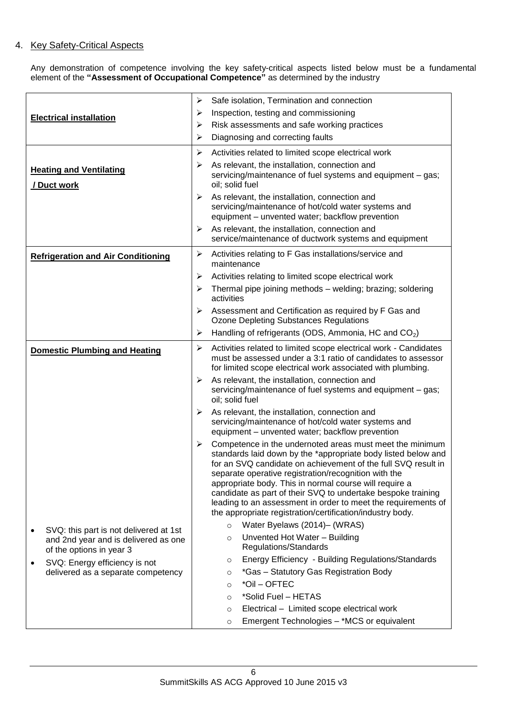# 4. Key Safety-Critical Aspects

Any demonstration of competence involving the key safety-critical aspects listed below must be a fundamental element of the **"Assessment of Occupational Competence"** as determined by the industry

|                                               |                                                                  | ➤ | Safe isolation, Termination and connection                                                                                                                                                                                                                                                                                                                                                                                                                                                                 |  |
|-----------------------------------------------|------------------------------------------------------------------|---|------------------------------------------------------------------------------------------------------------------------------------------------------------------------------------------------------------------------------------------------------------------------------------------------------------------------------------------------------------------------------------------------------------------------------------------------------------------------------------------------------------|--|
| <b>Electrical installation</b>                |                                                                  | ➤ | Inspection, testing and commissioning                                                                                                                                                                                                                                                                                                                                                                                                                                                                      |  |
|                                               |                                                                  | ➤ | Risk assessments and safe working practices                                                                                                                                                                                                                                                                                                                                                                                                                                                                |  |
|                                               |                                                                  | ➤ | Diagnosing and correcting faults                                                                                                                                                                                                                                                                                                                                                                                                                                                                           |  |
|                                               |                                                                  | ➤ | Activities related to limited scope electrical work                                                                                                                                                                                                                                                                                                                                                                                                                                                        |  |
|                                               |                                                                  |   | As relevant, the installation, connection and                                                                                                                                                                                                                                                                                                                                                                                                                                                              |  |
| <b>Heating and Ventilating</b><br>/ Duct work |                                                                  | ➤ | servicing/maintenance of fuel systems and equipment - gas;<br>oil; solid fuel                                                                                                                                                                                                                                                                                                                                                                                                                              |  |
|                                               |                                                                  | ≻ | As relevant, the installation, connection and<br>servicing/maintenance of hot/cold water systems and<br>equipment - unvented water; backflow prevention                                                                                                                                                                                                                                                                                                                                                    |  |
|                                               |                                                                  | ➤ | As relevant, the installation, connection and<br>service/maintenance of ductwork systems and equipment                                                                                                                                                                                                                                                                                                                                                                                                     |  |
| <b>Refrigeration and Air Conditioning</b>     |                                                                  | ➤ | Activities relating to F Gas installations/service and<br>maintenance                                                                                                                                                                                                                                                                                                                                                                                                                                      |  |
|                                               |                                                                  | ➤ | Activities relating to limited scope electrical work                                                                                                                                                                                                                                                                                                                                                                                                                                                       |  |
|                                               |                                                                  | ➤ | Thermal pipe joining methods - welding; brazing; soldering<br>activities                                                                                                                                                                                                                                                                                                                                                                                                                                   |  |
|                                               |                                                                  | ➤ | Assessment and Certification as required by F Gas and<br><b>Ozone Depleting Substances Regulations</b>                                                                                                                                                                                                                                                                                                                                                                                                     |  |
|                                               |                                                                  | ➤ | Handling of refrigerants (ODS, Ammonia, HC and CO <sub>2</sub> )                                                                                                                                                                                                                                                                                                                                                                                                                                           |  |
|                                               | <b>Domestic Plumbing and Heating</b>                             | ➤ | Activities related to limited scope electrical work - Candidates<br>must be assessed under a 3:1 ratio of candidates to assessor<br>for limited scope electrical work associated with plumbing.                                                                                                                                                                                                                                                                                                            |  |
|                                               |                                                                  | ➤ | As relevant, the installation, connection and<br>servicing/maintenance of fuel systems and equipment - gas;<br>oil; solid fuel                                                                                                                                                                                                                                                                                                                                                                             |  |
|                                               |                                                                  | ⋗ | As relevant, the installation, connection and<br>servicing/maintenance of hot/cold water systems and<br>equipment - unvented water; backflow prevention                                                                                                                                                                                                                                                                                                                                                    |  |
|                                               |                                                                  | ➤ | Competence in the undernoted areas must meet the minimum<br>standards laid down by the *appropriate body listed below and<br>for an SVQ candidate on achievement of the full SVQ result in<br>separate operative registration/recognition with the<br>appropriate body. This in normal course will require a<br>candidate as part of their SVQ to undertake bespoke training<br>leading to an assessment in order to meet the requirements of<br>the appropriate registration/certification/industry body. |  |
|                                               | SVQ: this part is not delivered at 1st                           |   | Water Byelaws (2014)- (WRAS)<br>$\circ$                                                                                                                                                                                                                                                                                                                                                                                                                                                                    |  |
|                                               | and 2nd year and is delivered as one<br>of the options in year 3 |   | Unvented Hot Water - Building<br>$\circ$<br>Regulations/Standards                                                                                                                                                                                                                                                                                                                                                                                                                                          |  |
| $\bullet$                                     | SVQ: Energy efficiency is not                                    |   | Energy Efficiency - Building Regulations/Standards<br>$\circ$                                                                                                                                                                                                                                                                                                                                                                                                                                              |  |
|                                               | delivered as a separate competency                               |   | *Gas - Statutory Gas Registration Body<br>$\circ$                                                                                                                                                                                                                                                                                                                                                                                                                                                          |  |
|                                               |                                                                  |   | *Oil - OFTEC<br>$\circ$                                                                                                                                                                                                                                                                                                                                                                                                                                                                                    |  |
|                                               |                                                                  |   | *Solid Fuel - HETAS<br>$\circ$                                                                                                                                                                                                                                                                                                                                                                                                                                                                             |  |
|                                               |                                                                  |   | Electrical - Limited scope electrical work<br>$\circ$                                                                                                                                                                                                                                                                                                                                                                                                                                                      |  |
|                                               |                                                                  |   | Emergent Technologies - *MCS or equivalent<br>$\circ$                                                                                                                                                                                                                                                                                                                                                                                                                                                      |  |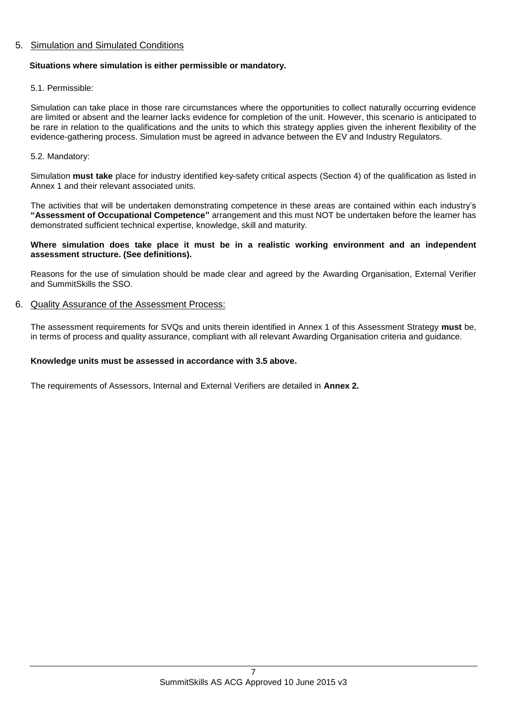## 5. Simulation and Simulated Conditions

#### **Situations where simulation is either permissible or mandatory.**

#### 5.1. Permissible:

Simulation can take place in those rare circumstances where the opportunities to collect naturally occurring evidence are limited or absent and the learner lacks evidence for completion of the unit. However, this scenario is anticipated to be rare in relation to the qualifications and the units to which this strategy applies given the inherent flexibility of the evidence-gathering process. Simulation must be agreed in advance between the EV and Industry Regulators.

#### 5.2. Mandatory:

Simulation **must take** place for industry identified key-safety critical aspects (Section 4) of the qualification as listed in Annex 1 and their relevant associated units.

The activities that will be undertaken demonstrating competence in these areas are contained within each industry's **"Assessment of Occupational Competence"** arrangement and this must NOT be undertaken before the learner has demonstrated sufficient technical expertise, knowledge, skill and maturity.

#### **Where simulation does take place it must be in a realistic working environment and an independent assessment structure. (See definitions).**

Reasons for the use of simulation should be made clear and agreed by the Awarding Organisation, External Verifier and SummitSkills the SSO.

#### 6. Quality Assurance of the Assessment Process:

The assessment requirements for SVQs and units therein identified in Annex 1 of this Assessment Strategy **must** be, in terms of process and quality assurance, compliant with all relevant Awarding Organisation criteria and guidance.

#### **Knowledge units must be assessed in accordance with 3.5 above.**

The requirements of Assessors, Internal and External Verifiers are detailed in **Annex 2.**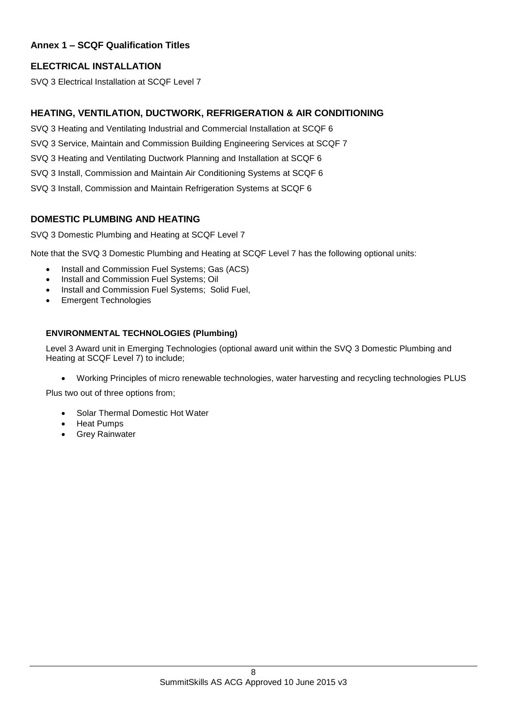# **Annex 1 – SCQF Qualification Titles**

# **ELECTRICAL INSTALLATION**

SVQ 3 Electrical Installation at SCQF Level 7

# **HEATING, VENTILATION, DUCTWORK, REFRIGERATION & AIR CONDITIONING**

- SVQ 3 Heating and Ventilating Industrial and Commercial Installation at SCQF 6
- SVQ 3 Service, Maintain and Commission Building Engineering Services at SCQF 7
- SVQ 3 Heating and Ventilating Ductwork Planning and Installation at SCQF 6
- SVQ 3 Install, Commission and Maintain Air Conditioning Systems at SCQF 6
- SVQ 3 Install, Commission and Maintain Refrigeration Systems at SCQF 6

# **DOMESTIC PLUMBING AND HEATING**

SVQ 3 Domestic Plumbing and Heating at SCQF Level 7

Note that the SVQ 3 Domestic Plumbing and Heating at SCQF Level 7 has the following optional units:

- Install and Commission Fuel Systems; Gas (ACS)
- Install and Commission Fuel Systems; Oil
- Install and Commission Fuel Systems; Solid Fuel,
- Emergent Technologies

# **ENVIRONMENTAL TECHNOLOGIES (Plumbing)**

Level 3 Award unit in Emerging Technologies (optional award unit within the SVQ 3 Domestic Plumbing and Heating at SCQF Level 7) to include;

Working Principles of micro renewable technologies, water harvesting and recycling technologies PLUS

Plus two out of three options from;

- Solar Thermal Domestic Hot Water
- Heat Pumps
- Grey Rainwater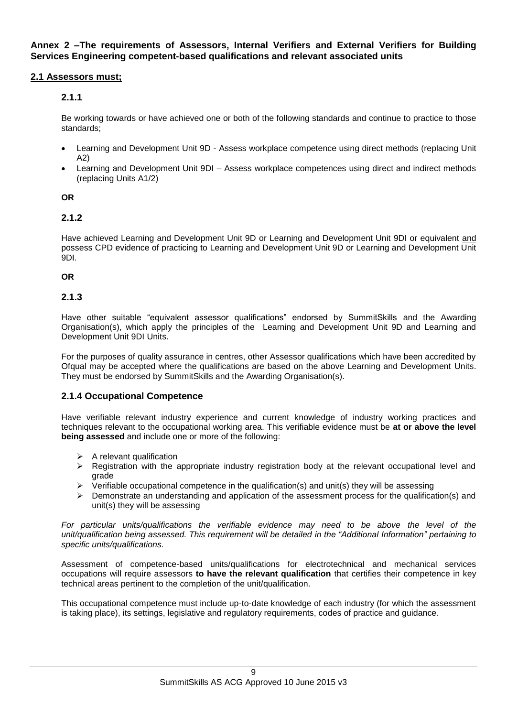**Annex 2 –The requirements of Assessors, Internal Verifiers and External Verifiers for Building Services Engineering competent-based qualifications and relevant associated units** 

## **2.1 Assessors must;**

# **2.1.1**

Be working towards or have achieved one or both of the following standards and continue to practice to those standards;

- Learning and Development Unit 9D Assess workplace competence using direct methods (replacing Unit A2)
- Learning and Development Unit 9DI Assess workplace competences using direct and indirect methods (replacing Units A1/2)

#### **OR**

# **2.1.2**

Have achieved Learning and Development Unit 9D or Learning and Development Unit 9DI or equivalent and possess CPD evidence of practicing to Learning and Development Unit 9D or Learning and Development Unit 9DI.

#### **OR**

## **2.1.3**

Have other suitable "equivalent assessor qualifications" endorsed by SummitSkills and the Awarding Organisation(s), which apply the principles of the Learning and Development Unit 9D and Learning and Development Unit 9DI Units.

For the purposes of quality assurance in centres, other Assessor qualifications which have been accredited by Ofqual may be accepted where the qualifications are based on the above Learning and Development Units. They must be endorsed by SummitSkills and the Awarding Organisation(s).

#### **2.1.4 Occupational Competence**

Have verifiable relevant industry experience and current knowledge of industry working practices and techniques relevant to the occupational working area. This verifiable evidence must be **at or above the level being assessed** and include one or more of the following:

- $\triangleright$  A relevant qualification
- $\triangleright$  Registration with the appropriate industry registration body at the relevant occupational level and grade
- $\triangleright$  Verifiable occupational competence in the qualification(s) and unit(s) they will be assessing
- Demonstrate an understanding and application of the assessment process for the qualification(s) and unit(s) they will be assessing

*For particular units/qualifications the verifiable evidence may need to be above the level of the unit/qualification being assessed. This requirement will be detailed in the "Additional Information" pertaining to specific units/qualifications.*

Assessment of competence-based units/qualifications for electrotechnical and mechanical services occupations will require assessors **to have the relevant qualification** that certifies their competence in key technical areas pertinent to the completion of the unit/qualification.

This occupational competence must include up-to-date knowledge of each industry (for which the assessment is taking place), its settings, legislative and regulatory requirements, codes of practice and guidance.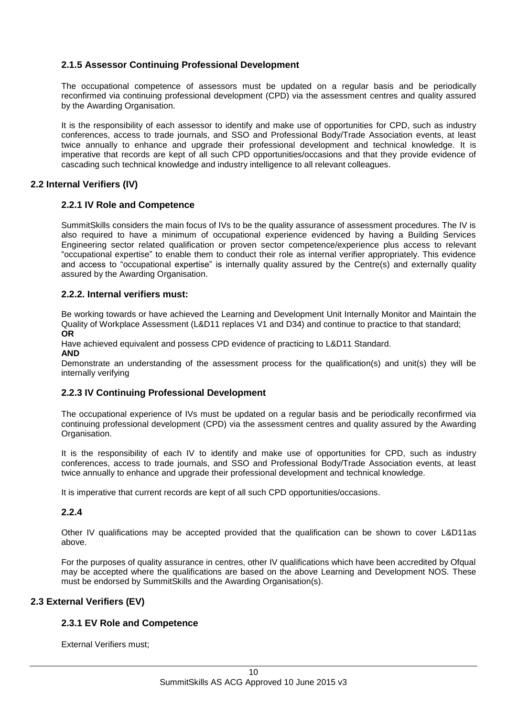# **2.1.5 Assessor Continuing Professional Development**

The occupational competence of assessors must be updated on a regular basis and be periodically reconfirmed via continuing professional development (CPD) via the assessment centres and quality assured by the Awarding Organisation.

It is the responsibility of each assessor to identify and make use of opportunities for CPD, such as industry conferences, access to trade journals, and SSO and Professional Body/Trade Association events, at least twice annually to enhance and upgrade their professional development and technical knowledge. It is imperative that records are kept of all such CPD opportunities/occasions and that they provide evidence of cascading such technical knowledge and industry intelligence to all relevant colleagues.

# **2.2 Internal Verifiers (IV)**

## **2.2.1 IV Role and Competence**

SummitSkills considers the main focus of IVs to be the quality assurance of assessment procedures. The IV is also required to have a minimum of occupational experience evidenced by having a Building Services Engineering sector related qualification or proven sector competence/experience plus access to relevant "occupational expertise" to enable them to conduct their role as internal verifier appropriately. This evidence and access to "occupational expertise" is internally quality assured by the Centre(s) and externally quality assured by the Awarding Organisation.

#### **2.2.2. Internal verifiers must:**

Be working towards or have achieved the Learning and Development Unit Internally Monitor and Maintain the Quality of Workplace Assessment (L&D11 replaces V1 and D34) and continue to practice to that standard; **OR**

Have achieved equivalent and possess CPD evidence of practicing to L&D11 Standard.

**AND**

Demonstrate an understanding of the assessment process for the qualification(s) and unit(s) they will be internally verifying

#### **2.2.3 IV Continuing Professional Development**

The occupational experience of IVs must be updated on a regular basis and be periodically reconfirmed via continuing professional development (CPD) via the assessment centres and quality assured by the Awarding Organisation.

It is the responsibility of each IV to identify and make use of opportunities for CPD, such as industry conferences, access to trade journals, and SSO and Professional Body/Trade Association events, at least twice annually to enhance and upgrade their professional development and technical knowledge.

It is imperative that current records are kept of all such CPD opportunities/occasions.

# **2.2.4**

Other IV qualifications may be accepted provided that the qualification can be shown to cover L&D11as above.

For the purposes of quality assurance in centres, other IV qualifications which have been accredited by Ofqual may be accepted where the qualifications are based on the above Learning and Development NOS. These must be endorsed by SummitSkills and the Awarding Organisation(s).

# **2.3 External Verifiers (EV)**

# **2.3.1 EV Role and Competence**

External Verifiers must;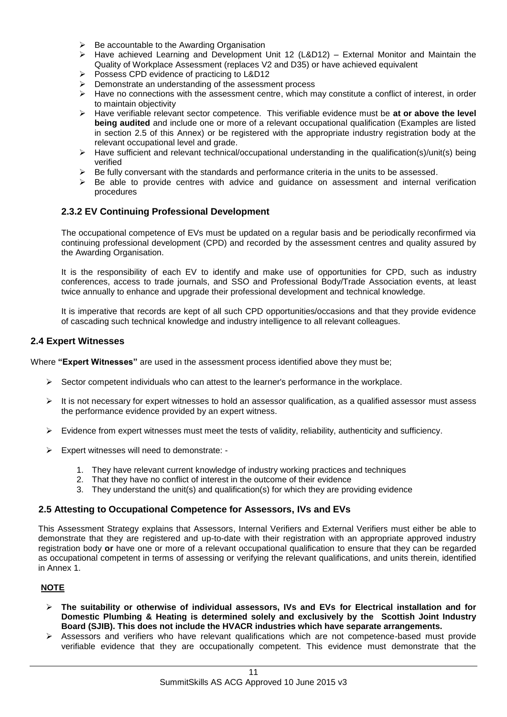- $\triangleright$  Be accountable to the Awarding Organisation
- $\triangleright$  Have achieved Learning and Development Unit 12 (L&D12) External Monitor and Maintain the Quality of Workplace Assessment (replaces V2 and D35) or have achieved equivalent
- Possess CPD evidence of practicing to L&D12
- $\triangleright$  Demonstrate an understanding of the assessment process
- $\triangleright$  Have no connections with the assessment centre, which may constitute a conflict of interest, in order to maintain objectivity
- Have verifiable relevant sector competence. This verifiable evidence must be **at or above the level being audited** and include one or more of a relevant occupational qualification (Examples are listed in section 2.5 of this Annex) or be registered with the appropriate industry registration body at the relevant occupational level and grade.
- $\triangleright$  Have sufficient and relevant technical/occupational understanding in the qualification(s)/unit(s) being verified
- $\triangleright$  Be fully conversant with the standards and performance criteria in the units to be assessed.
- $\triangleright$  Be able to provide centres with advice and guidance on assessment and internal verification procedures

## **2.3.2 EV Continuing Professional Development**

The occupational competence of EVs must be updated on a regular basis and be periodically reconfirmed via continuing professional development (CPD) and recorded by the assessment centres and quality assured by the Awarding Organisation.

It is the responsibility of each EV to identify and make use of opportunities for CPD, such as industry conferences, access to trade journals, and SSO and Professional Body/Trade Association events, at least twice annually to enhance and upgrade their professional development and technical knowledge.

It is imperative that records are kept of all such CPD opportunities/occasions and that they provide evidence of cascading such technical knowledge and industry intelligence to all relevant colleagues.

#### **2.4 Expert Witnesses**

Where **"Expert Witnesses"** are used in the assessment process identified above they must be;

- $\triangleright$  Sector competent individuals who can attest to the learner's performance in the workplace.
- $\triangleright$  It is not necessary for expert witnesses to hold an assessor qualification, as a qualified assessor must assess the performance evidence provided by an expert witness.
- $\triangleright$  Evidence from expert witnesses must meet the tests of validity, reliability, authenticity and sufficiency.
- Expert witnesses will need to demonstrate:
	- 1. They have relevant current knowledge of industry working practices and techniques
	- 2. That they have no conflict of interest in the outcome of their evidence
	- 3. They understand the unit(s) and qualification(s) for which they are providing evidence

#### **2.5 Attesting to Occupational Competence for Assessors, IVs and EVs**

This Assessment Strategy explains that Assessors, Internal Verifiers and External Verifiers must either be able to demonstrate that they are registered and up-to-date with their registration with an appropriate approved industry registration body **or** have one or more of a relevant occupational qualification to ensure that they can be regarded as occupational competent in terms of assessing or verifying the relevant qualifications, and units therein, identified in Annex 1.

#### **NOTE**

- **The suitability or otherwise of individual assessors, IVs and EVs for Electrical installation and for Domestic Plumbing & Heating is determined solely and exclusively by the Scottish Joint Industry Board (SJIB). This does not include the HVACR industries which have separate arrangements.**
- $\triangleright$  Assessors and verifiers who have relevant qualifications which are not competence-based must provide verifiable evidence that they are occupationally competent. This evidence must demonstrate that the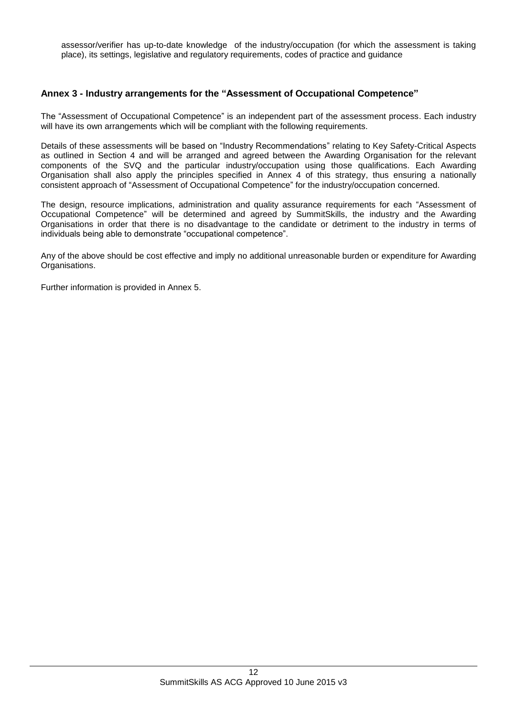assessor/verifier has up-to-date knowledge of the industry/occupation (for which the assessment is taking place), its settings, legislative and regulatory requirements, codes of practice and guidance

## **Annex 3 - Industry arrangements for the "Assessment of Occupational Competence"**

The "Assessment of Occupational Competence" is an independent part of the assessment process. Each industry will have its own arrangements which will be compliant with the following requirements.

Details of these assessments will be based on "Industry Recommendations" relating to Key Safety-Critical Aspects as outlined in Section 4 and will be arranged and agreed between the Awarding Organisation for the relevant components of the SVQ and the particular industry/occupation using those qualifications. Each Awarding Organisation shall also apply the principles specified in Annex 4 of this strategy, thus ensuring a nationally consistent approach of "Assessment of Occupational Competence" for the industry/occupation concerned.

The design, resource implications, administration and quality assurance requirements for each "Assessment of Occupational Competence" will be determined and agreed by SummitSkills, the industry and the Awarding Organisations in order that there is no disadvantage to the candidate or detriment to the industry in terms of individuals being able to demonstrate "occupational competence".

Any of the above should be cost effective and imply no additional unreasonable burden or expenditure for Awarding Organisations.

Further information is provided in Annex 5.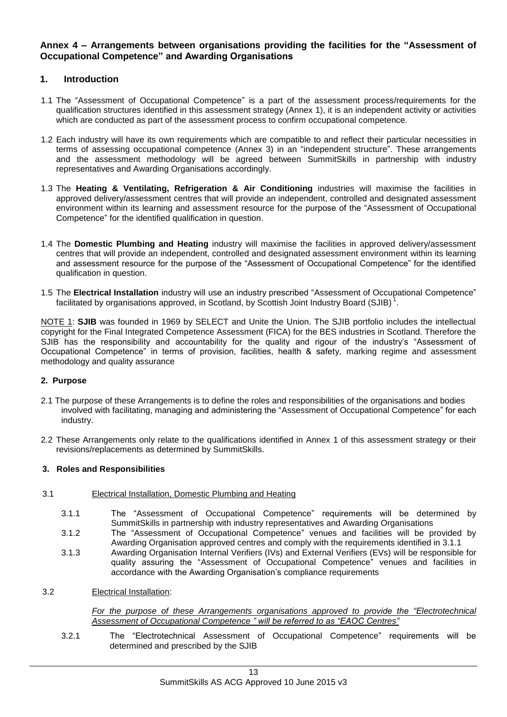## **Annex 4 – Arrangements between organisations providing the facilities for the "Assessment of Occupational Competence" and Awarding Organisations**

## **1. Introduction**

- 1.1 The "Assessment of Occupational Competence" is a part of the assessment process/requirements for the qualification structures identified in this assessment strategy (Annex 1), it is an independent activity or activities which are conducted as part of the assessment process to confirm occupational competence.
- 1.2 Each industry will have its own requirements which are compatible to and reflect their particular necessities in terms of assessing occupational competence (Annex 3) in an "independent structure". These arrangements and the assessment methodology will be agreed between SummitSkills in partnership with industry representatives and Awarding Organisations accordingly.
- 1.3 The **Heating & Ventilating, Refrigeration & Air Conditioning** industries will maximise the facilities in approved delivery/assessment centres that will provide an independent, controlled and designated assessment environment within its learning and assessment resource for the purpose of the "Assessment of Occupational Competence" for the identified qualification in question.
- 1.4 The **Domestic Plumbing and Heating** industry will maximise the facilities in approved delivery/assessment centres that will provide an independent, controlled and designated assessment environment within its learning and assessment resource for the purpose of the "Assessment of Occupational Competence" for the identified qualification in question.
- 1.5 The **Electrical Installation** industry will use an industry prescribed "Assessment of Occupational Competence" facilitated by organisations approved, in Scotland, by Scottish Joint Industry Board (SJIB)<sup>1</sup>.

NOTE 1: **SJIB** was founded in 1969 by SELECT and Unite the Union. The SJIB portfolio includes the intellectual copyright for the Final Integrated Competence Assessment (FICA) for the BES industries in Scotland. Therefore the SJIB has the responsibility and accountability for the quality and rigour of the industry's "Assessment of Occupational Competence" in terms of provision, facilities, health & safety, marking regime and assessment methodology and quality assurance

#### **2. Purpose**

- 2.1 The purpose of these Arrangements is to define the roles and responsibilities of the organisations and bodies involved with facilitating, managing and administering the "Assessment of Occupational Competence" for each industry.
- 2.2 These Arrangements only relate to the qualifications identified in Annex 1 of this assessment strategy or their revisions/replacements as determined by SummitSkills.

#### **3. Roles and Responsibilities**

- 3.1 Electrical Installation, Domestic Plumbing and Heating
	- 3.1.1 The "Assessment of Occupational Competence" requirements will be determined by SummitSkills in partnership with industry representatives and Awarding Organisations
	- 3.1.2 The "Assessment of Occupational Competence" venues and facilities will be provided by Awarding Organisation approved centres and comply with the requirements identified in 3.1.1
	- 3.1.3 Awarding Organisation Internal Verifiers (IVs) and External Verifiers (EVs) will be responsible for quality assuring the "Assessment of Occupational Competence" venues and facilities in accordance with the Awarding Organisation's compliance requirements
- 3.2 Electrical Installation:

*For the purpose of these Arrangements organisations approved to provide the "Electrotechnical Assessment of Occupational Competence " will be referred to as "EAOC Centres"*

3.2.1 The "Electrotechnical Assessment of Occupational Competence" requirements will be determined and prescribed by the SJIB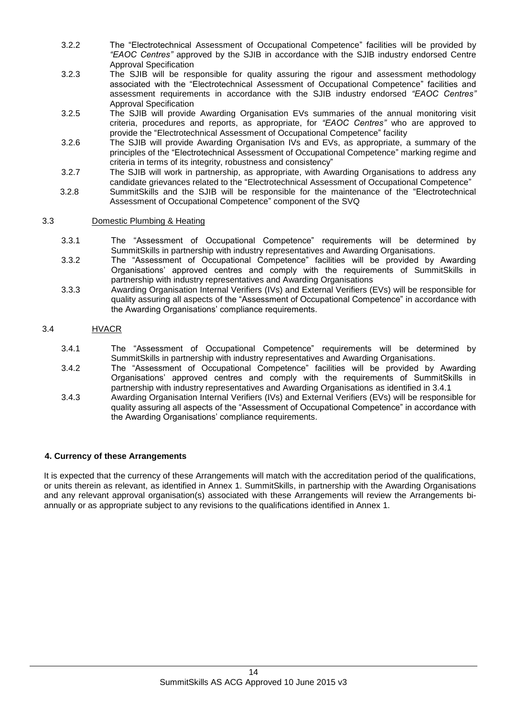- 3.2.2 The "Electrotechnical Assessment of Occupational Competence" facilities will be provided by *"EAOC Centres"* approved by the SJIB in accordance with the SJIB industry endorsed Centre Approval Specification
- 3.2.3 The SJIB will be responsible for quality assuring the rigour and assessment methodology associated with the "Electrotechnical Assessment of Occupational Competence" facilities and assessment requirements in accordance with the SJIB industry endorsed *"EAOC Centres"*  Approval Specification
- 3.2.5 The SJIB will provide Awarding Organisation EVs summaries of the annual monitoring visit criteria, procedures and reports, as appropriate, for *"EAOC Centres"* who are approved to provide the "Electrotechnical Assessment of Occupational Competence" facility
- 3.2.6 The SJIB will provide Awarding Organisation IVs and EVs, as appropriate, a summary of the principles of the "Electrotechnical Assessment of Occupational Competence" marking regime and criteria in terms of its integrity, robustness and consistency"
- 3.2.7 The SJIB will work in partnership, as appropriate, with Awarding Organisations to address any candidate grievances related to the "Electrotechnical Assessment of Occupational Competence"
- 3.2.8 SummitSkills and the SJIB will be responsible for the maintenance of the "Electrotechnical Assessment of Occupational Competence" component of the SVQ

#### 3.3 Domestic Plumbing & Heating

- 3.3.1 The "Assessment of Occupational Competence" requirements will be determined by SummitSkills in partnership with industry representatives and Awarding Organisations.
- 3.3.2 The "Assessment of Occupational Competence" facilities will be provided by Awarding Organisations' approved centres and comply with the requirements of SummitSkills in partnership with industry representatives and Awarding Organisations
- 3.3.3 Awarding Organisation Internal Verifiers (IVs) and External Verifiers (EVs) will be responsible for quality assuring all aspects of the "Assessment of Occupational Competence" in accordance with the Awarding Organisations' compliance requirements.

## 3.4 HVACR

- 3.4.1 The "Assessment of Occupational Competence" requirements will be determined by SummitSkills in partnership with industry representatives and Awarding Organisations.
- 3.4.2 The "Assessment of Occupational Competence" facilities will be provided by Awarding Organisations' approved centres and comply with the requirements of SummitSkills in partnership with industry representatives and Awarding Organisations as identified in 3.4.1
- 3.4.3 Awarding Organisation Internal Verifiers (IVs) and External Verifiers (EVs) will be responsible for quality assuring all aspects of the "Assessment of Occupational Competence" in accordance with the Awarding Organisations' compliance requirements.

#### **4. Currency of these Arrangements**

It is expected that the currency of these Arrangements will match with the accreditation period of the qualifications, or units therein as relevant, as identified in Annex 1. SummitSkills, in partnership with the Awarding Organisations and any relevant approval organisation(s) associated with these Arrangements will review the Arrangements biannually or as appropriate subject to any revisions to the qualifications identified in Annex 1.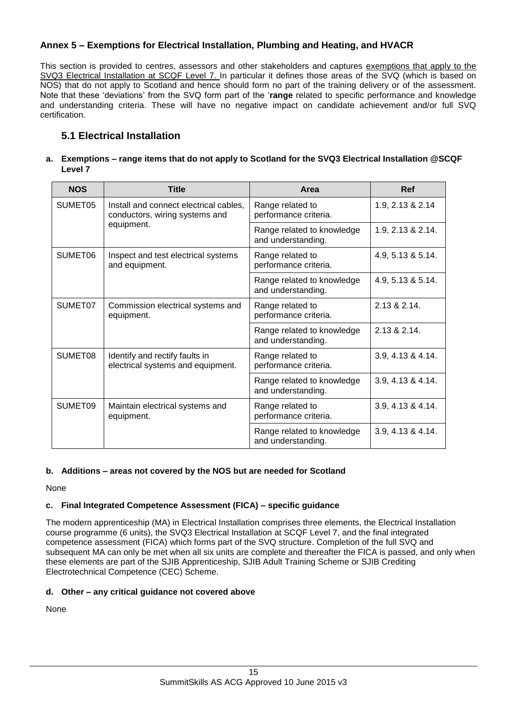# **Annex 5 – Exemptions for Electrical Installation, Plumbing and Heating, and HVACR**

This section is provided to centres, assessors and other stakeholders and captures exemptions that apply to the SVQ3 Electrical Installation at SCQF Level 7. In particular it defines those areas of the SVQ (which is based on NOS) that do not apply to Scotland and hence should form no part of the training delivery or of the assessment. Note that these 'deviations' from the SVQ form part of the '**range** related to specific performance and knowledge and understanding criteria. These will have no negative impact on candidate achievement and/or full SVQ certification.

# **5.1 Electrical Installation**

#### **a. Exemptions – range items that do not apply to Scotland for the SVQ3 Electrical Installation @SCQF Level 7**

| <b>NOS</b> | <b>Title</b>                                                             | Area                                             | Ref               |
|------------|--------------------------------------------------------------------------|--------------------------------------------------|-------------------|
| SUMET05    | Install and connect electrical cables,<br>conductors, wiring systems and | Range related to<br>performance criteria.        | 1.9, 2.13 & 2.14  |
|            | equipment.                                                               | Range related to knowledge<br>and understanding. | 1.9, 2.13 & 2.14. |
| SUMET06    | Inspect and test electrical systems<br>and equipment.                    | Range related to<br>performance criteria.        | 4.9, 5.13 & 5.14. |
|            |                                                                          | Range related to knowledge<br>and understanding. | 4.9, 5.13 & 5.14. |
| SUMET07    | Commission electrical systems and<br>equipment.                          | Range related to<br>performance criteria.        | 2.13 & 2.14       |
|            |                                                                          | Range related to knowledge<br>and understanding. | 2.13 & 2.14.      |
| SUMET08    | Identify and rectify faults in<br>electrical systems and equipment.      | Range related to<br>performance criteria.        | 3.9, 4.13 & 4.14. |
|            |                                                                          | Range related to knowledge<br>and understanding. | 3.9, 4.13 & 4.14. |
| SUMET09    | Maintain electrical systems and<br>equipment.                            | Range related to<br>performance criteria.        | 3.9, 4.13 & 4.14. |
|            |                                                                          | Range related to knowledge<br>and understanding. | 3.9, 4.13 & 4.14. |

# **b. Additions – areas not covered by the NOS but are needed for Scotland**

None

# **c. Final Integrated Competence Assessment (FICA) – specific guidance**

The modern apprenticeship (MA) in Electrical Installation comprises three elements, the Electrical Installation course programme (6 units), the SVQ3 Electrical Installation at SCQF Level 7, and the final integrated competence assessment (FICA) which forms part of the SVQ structure. Completion of the full SVQ and subsequent MA can only be met when all six units are complete and thereafter the FICA is passed, and only when these elements are part of the SJIB Apprenticeship, SJIB Adult Training Scheme or SJIB Crediting Electrotechnical Competence (CEC) Scheme.

# **d. Other – any critical guidance not covered above**

None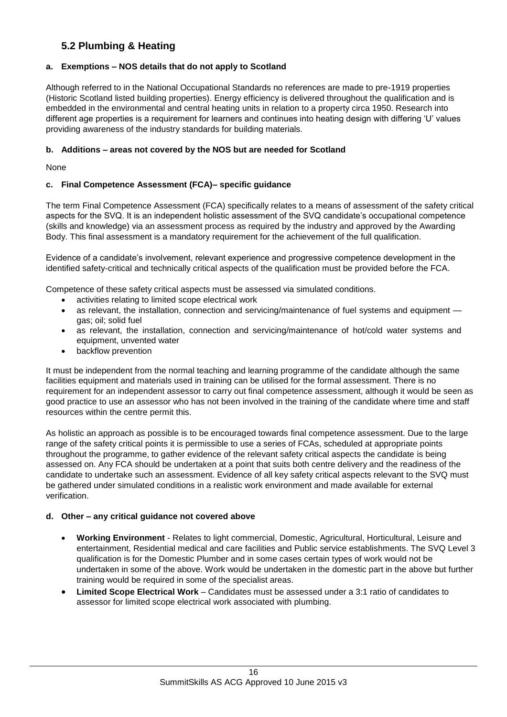# **5.2 Plumbing & Heating**

## **a. Exemptions – NOS details that do not apply to Scotland**

Although referred to in the National Occupational Standards no references are made to pre-1919 properties (Historic Scotland listed building properties). Energy efficiency is delivered throughout the qualification and is embedded in the environmental and central heating units in relation to a property circa 1950. Research into different age properties is a requirement for learners and continues into heating design with differing 'U' values providing awareness of the industry standards for building materials.

#### **b. Additions – areas not covered by the NOS but are needed for Scotland**

None

## **c. Final Competence Assessment (FCA)– specific guidance**

The term Final Competence Assessment (FCA) specifically relates to a means of assessment of the safety critical aspects for the SVQ. It is an independent holistic assessment of the SVQ candidate's occupational competence (skills and knowledge) via an assessment process as required by the industry and approved by the Awarding Body. This final assessment is a mandatory requirement for the achievement of the full qualification.

Evidence of a candidate's involvement, relevant experience and progressive competence development in the identified safety-critical and technically critical aspects of the qualification must be provided before the FCA.

Competence of these safety critical aspects must be assessed via simulated conditions.

- activities relating to limited scope electrical work
- as relevant, the installation, connection and servicing/maintenance of fuel systems and equipment gas; oil; solid fuel
- as relevant, the installation, connection and servicing/maintenance of hot/cold water systems and equipment, unvented water
- backflow prevention

It must be independent from the normal teaching and learning programme of the candidate although the same facilities equipment and materials used in training can be utilised for the formal assessment. There is no requirement for an independent assessor to carry out final competence assessment, although it would be seen as good practice to use an assessor who has not been involved in the training of the candidate where time and staff resources within the centre permit this.

As holistic an approach as possible is to be encouraged towards final competence assessment. Due to the large range of the safety critical points it is permissible to use a series of FCAs, scheduled at appropriate points throughout the programme, to gather evidence of the relevant safety critical aspects the candidate is being assessed on. Any FCA should be undertaken at a point that suits both centre delivery and the readiness of the candidate to undertake such an assessment. Evidence of all key safety critical aspects relevant to the SVQ must be gathered under simulated conditions in a realistic work environment and made available for external verification.

#### **d. Other – any critical guidance not covered above**

- **Working Environment** Relates to light commercial, Domestic, Agricultural, Horticultural, Leisure and entertainment, Residential medical and care facilities and Public service establishments. The SVQ Level 3 qualification is for the Domestic Plumber and in some cases certain types of work would not be undertaken in some of the above. Work would be undertaken in the domestic part in the above but further training would be required in some of the specialist areas.
- **Limited Scope Electrical Work** Candidates must be assessed under a 3:1 ratio of candidates to assessor for limited scope electrical work associated with plumbing.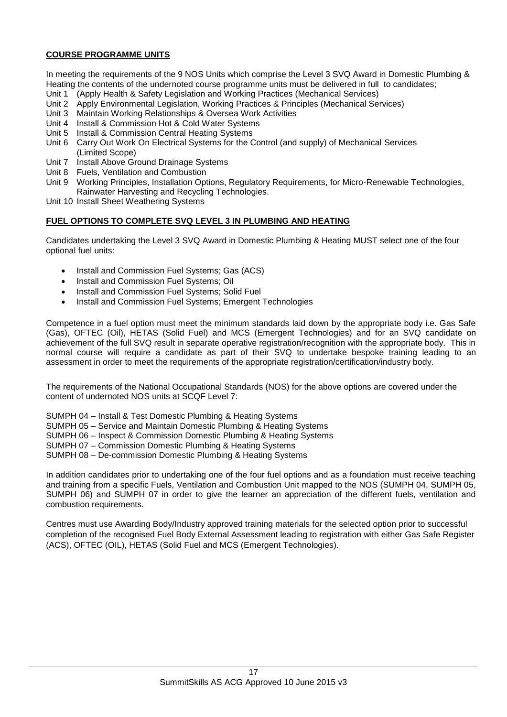## **COURSE PROGRAMME UNITS**

In meeting the requirements of the 9 NOS Units which comprise the Level 3 SVQ Award in Domestic Plumbing & Heating the contents of the undernoted course programme units must be delivered in full to candidates;

- Unit 1 (Apply Health & Safety Legislation and Working Practices (Mechanical Services)
- Unit 2 Apply Environmental Legislation, Working Practices & Principles (Mechanical Services)
- Unit 3 Maintain Working Relationships & Oversea Work Activities
- Unit 4 Install & Commission Hot & Cold Water Systems
- Unit 5 Install & Commission Central Heating Systems
- Unit 6 Carry Out Work On Electrical Systems for the Control (and supply) of Mechanical Services (Limited Scope)
- Unit 7 Install Above Ground Drainage Systems
- Unit 8 Fuels, Ventilation and Combustion
- Unit 9 Working Principles, Installation Options, Regulatory Requirements, for Micro-Renewable Technologies, Rainwater Harvesting and Recycling Technologies.
- Unit 10 Install Sheet Weathering Systems

# **FUEL OPTIONS TO COMPLETE SVQ LEVEL 3 IN PLUMBING AND HEATING**

Candidates undertaking the Level 3 SVQ Award in Domestic Plumbing & Heating MUST select one of the four optional fuel units:

- Install and Commission Fuel Systems; Gas (ACS)
- Install and Commission Fuel Systems; Oil
- Install and Commission Fuel Systems; Solid Fuel
- Install and Commission Fuel Systems; Emergent Technologies

Competence in a fuel option must meet the minimum standards laid down by the appropriate body i.e. Gas Safe (Gas), OFTEC (Oil), HETAS (Solid Fuel) and MCS (Emergent Technologies) and for an SVQ candidate on achievement of the full SVQ result in separate operative registration/recognition with the appropriate body. This in normal course will require a candidate as part of their SVQ to undertake bespoke training leading to an assessment in order to meet the requirements of the appropriate registration/certification/industry body.

The requirements of the National Occupational Standards (NOS) for the above options are covered under the content of undernoted NOS units at SCQF Level 7:

SUMPH 04 – Install & Test Domestic Plumbing & Heating Systems

SUMPH 05 – Service and Maintain Domestic Plumbing & Heating Systems

SUMPH 06 – Inspect & Commission Domestic Plumbing & Heating Systems

SUMPH 07 – Commission Domestic Plumbing & Heating Systems

SUMPH 08 – De-commission Domestic Plumbing & Heating Systems

In addition candidates prior to undertaking one of the four fuel options and as a foundation must receive teaching and training from a specific Fuels, Ventilation and Combustion Unit mapped to the NOS (SUMPH 04, SUMPH 05, SUMPH 06) and SUMPH 07 in order to give the learner an appreciation of the different fuels, ventilation and combustion requirements.

Centres must use Awarding Body/Industry approved training materials for the selected option prior to successful completion of the recognised Fuel Body External Assessment leading to registration with either Gas Safe Register (ACS), OFTEC (OIL), HETAS (Solid Fuel and MCS (Emergent Technologies).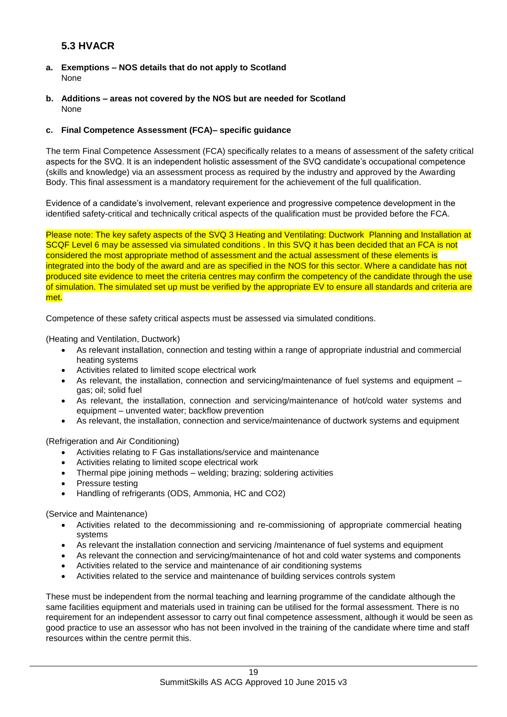# **5.3 HVACR**

- **a. Exemptions – NOS details that do not apply to Scotland** None
- **b. Additions – areas not covered by the NOS but are needed for Scotland** None

## **c. Final Competence Assessment (FCA)– specific guidance**

The term Final Competence Assessment (FCA) specifically relates to a means of assessment of the safety critical aspects for the SVQ. It is an independent holistic assessment of the SVQ candidate's occupational competence (skills and knowledge) via an assessment process as required by the industry and approved by the Awarding Body. This final assessment is a mandatory requirement for the achievement of the full qualification.

Evidence of a candidate's involvement, relevant experience and progressive competence development in the identified safety-critical and technically critical aspects of the qualification must be provided before the FCA.

Please note: The key safety aspects of the SVQ 3 Heating and Ventilating: Ductwork Planning and Installation at SCQF Level 6 may be assessed via simulated conditions . In this SVQ it has been decided that an FCA is not considered the most appropriate method of assessment and the actual assessment of these elements is integrated into the body of the award and are as specified in the NOS for this sector. Where a candidate has not produced site evidence to meet the criteria centres may confirm the competency of the candidate through the use of simulation. The simulated set up must be verified by the appropriate EV to ensure all standards and criteria are met.

Competence of these safety critical aspects must be assessed via simulated conditions.

(Heating and Ventilation, Ductwork)

- As relevant installation, connection and testing within a range of appropriate industrial and commercial heating systems
- Activities related to limited scope electrical work
- As relevant, the installation, connection and servicing/maintenance of fuel systems and equipment gas; oil; solid fuel
- As relevant, the installation, connection and servicing/maintenance of hot/cold water systems and equipment – unvented water; backflow prevention
- As relevant, the installation, connection and service/maintenance of ductwork systems and equipment

(Refrigeration and Air Conditioning)

- Activities relating to F Gas installations/service and maintenance
- Activities relating to limited scope electrical work
- Thermal pipe joining methods welding; brazing; soldering activities
- Pressure testing
- Handling of refrigerants (ODS, Ammonia, HC and CO2)

(Service and Maintenance)

- Activities related to the decommissioning and re-commissioning of appropriate commercial heating systems
- As relevant the installation connection and servicing /maintenance of fuel systems and equipment
- As relevant the connection and servicing/maintenance of hot and cold water systems and components
- Activities related to the service and maintenance of air conditioning systems
- Activities related to the service and maintenance of building services controls system

These must be independent from the normal teaching and learning programme of the candidate although the same facilities equipment and materials used in training can be utilised for the formal assessment. There is no requirement for an independent assessor to carry out final competence assessment, although it would be seen as good practice to use an assessor who has not been involved in the training of the candidate where time and staff resources within the centre permit this.